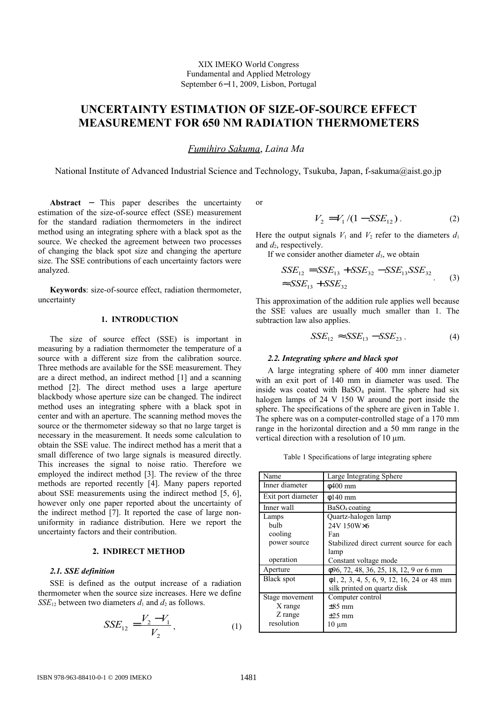# **UNCERTAINTY ESTIMATION OF SIZE-OF-SOURCE EFFECT MEASUREMENT FOR 650 NM RADIATION THERMOMETERS**

# *F umihiro Sakuma*, *Laina Ma*

National Institute of Advanced Industrial Science and Technology, Tsukuba, Japan, f-sakuma@aist.go.jp

**Abstract** − This paper describes the uncertainty estimation of the size-of-source effect (SSE) measurement for the standard radiation thermometers in the indirect method using an integrating sphere with a black spot as the source. We checked the agreement between two processes of changing the black spot size and changing the aperture size. The SSE contributions of each uncertainty factors were analyzed.

**Keywords**: size-of-source effect, radiation thermometer, uncertainty

## **1. INTRODUCTION**

The size of source effect (SSE) is important in measuring by a radiation thermometer the temperature of a source with a different size from the calibration source. Three methods are available for the SSE measurement. They are a direct method, an indirect method [1] and a scanning method [2]. The direct method uses a large aperture blackbody whose aperture size can be changed. The indirect method uses an integrating sphere with a black spot in center and with an aperture. The scanning method moves the source or the thermometer sideway so that no large target is necessary in the measurement. It needs some calculation to obtain the SSE value. The indirect method has a merit that a small difference of two large signals is measured directly. This increases the signal to noise ratio. Therefore we employed the indirect method [3]. The review of the three methods are reported recently [4]. Many papers reported about SSE measurements using the indirect method [5, 6], however only one paper reported about the uncertainty of the indirect method [7]. It reported the case of large nonuniformity in radiance distribution. Here we report the uncertainty factors and their contribution.

## **2. INDIRECT METHOD**

# *2.1. SSE definition*

SSE is defined as the output increase of a radiation thermometer when the source size increases. Here we define *SSE*<sub>12</sub> between two diameters  $d_1$  and  $d_2$  as follows.

$$
SSE_{12} = \frac{V_2 - V_1}{V_2},\tag{1}
$$

or

$$
V_2 = V_1 / (1 - SSE_{12}). \tag{2}
$$

Here the output signals  $V_1$  and  $V_2$  refer to the diameters  $d_1$ and  $d_2$ , respectively.

If we consider another diameter *d*3, we obtain

$$
SSE_{12} = SSE_{13} + SSE_{32} - SSE_{13} SSE_{32}
$$
  

$$
\approx SSE_{13} + SSE_{32}
$$
 (3)

This approximation of the addition rule applies well because the SSE values are usually much smaller than 1. The subtraction law also applies.

$$
SSE_{12} \approx SSE_{13} - SSE_{23}. \tag{4}
$$

#### *2.2. Integrating sphere and black spot*

A large integrating sphere of 400 mm inner diameter with an exit port of 140 mm in diameter was used. The inside was coated with  $BaSO<sub>4</sub>$  paint. The sphere had six halogen lamps of 24 V 150 W around the port inside the sphere. The specifications of the sphere are given in Table 1. The sphere was on a computer-controlled stage of a 170 mm range in the horizontal direction and a 50 mm range in the vertical direction with a resolution of 10 µm.

Table 1 Specifications of large integrating sphere

| Name               | Large Integrating Sphere                        |  |  |  |
|--------------------|-------------------------------------------------|--|--|--|
| Inner diameter     | $\phi$ 400 mm                                   |  |  |  |
| Exit port diameter | $\phi$ 140 mm                                   |  |  |  |
| Inner wall         | BaSO <sub>4</sub> coating                       |  |  |  |
| Lamps              | Quartz-halogen lamp                             |  |  |  |
| bulb               | 24V 150W×6                                      |  |  |  |
| cooling            | Fan                                             |  |  |  |
| power source       | Stabilized direct current source for each       |  |  |  |
|                    | lamp                                            |  |  |  |
| operation          | Constant voltage mode                           |  |  |  |
| Aperture           | φ96, 72, 48, 36, 25, 18, 12, 9 or 6 mm          |  |  |  |
| Black spot         | $\phi$ 1, 2, 3, 4, 5, 6, 9, 12, 16, 24 or 48 mm |  |  |  |
|                    | silk printed on quartz disk                     |  |  |  |
| Stage movement     | Computer control                                |  |  |  |
| X range            | $\pm 85$ mm                                     |  |  |  |
| Z range            | $\pm 25$ mm                                     |  |  |  |
| resolution         | $10 \mu m$                                      |  |  |  |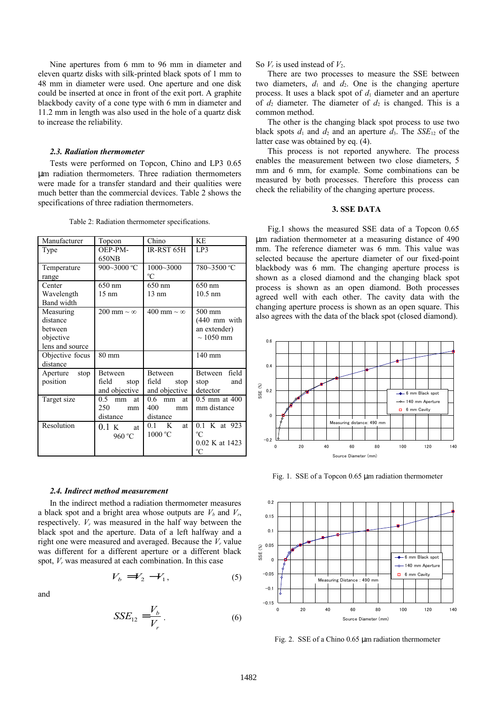Nine apertures from 6 mm to 96 mm in diameter and eleven quartz disks with silk-printed black spots of 1 mm to 48 mm in diameter were used. One aperture and one disk could be inserted at once in front of the exit port. A graphite blackbody cavity of a cone type with 6 mm in diameter and 11.2 mm in length was also used in the hole of a quartz disk to increase the reliability.

#### *2.3. Radiation thermometer*

Tests were performed on Topcon, Chino and LP3 0.65 µm radiation thermometers. Three radiation thermometers were made for a transfer standard and their qualities were much better than the commercial devices. Table 2 shows the specifications of three radiation thermometers.

| Manufacturer                                                     | Topcon                                           | Chino                                            | K <sub>E</sub>                                               |  |
|------------------------------------------------------------------|--------------------------------------------------|--------------------------------------------------|--------------------------------------------------------------|--|
| Type                                                             | OEP-PM-<br>650NB                                 | IR-RST 65H                                       | LP3                                                          |  |
| Temperature<br>range                                             | 900~3000 °C                                      | 1000~3000<br>$\rm ^{o}C$                         | 780~3500 °C                                                  |  |
| Center<br>Wavelength<br>Band width                               | 650 nm<br>$15 \text{ nm}$                        | 650 nm<br>$13 \text{ nm}$                        | 650 nm<br>$10.5$ nm                                          |  |
| Measuring<br>distance<br>between<br>objective<br>lens and source | 200 mm $\sim \infty$                             | 400 mm $\sim \infty$                             | 500 mm<br>$(440$ mm with<br>an extender)<br>$\sim$ 1050 mm   |  |
| Objective focus<br>distance                                      | $80 \text{ mm}$                                  |                                                  | $140 \text{ mm}$                                             |  |
| Aperture<br>stop<br>position                                     | <b>Between</b><br>field<br>stop<br>and objective | <b>Between</b><br>field<br>stop<br>and objective | Between field<br>stop<br>and<br>detector                     |  |
| Target size                                                      | 0.5<br>mm<br>at<br>250<br>mm<br>distance         | 0.6<br>at<br>mm<br>400-<br>mm<br>distance        | $0.5$ mm at $400$<br>mm distance                             |  |
| Resolution                                                       | 0.1 K<br>at<br>960 °C                            | K<br>0.1<br>at<br>1000 °C                        | 0.1 K at 923<br>$\rm ^{o}C$<br>0.02 K at 1423<br>$\rm ^{o}C$ |  |

Table 2: Radiation thermometer specifications.

#### *2.4. Indirect method measurement*

and

In the indirect method a radiation thermometer measures a black spot and a bright area whose outputs are  $V_b$  and  $V_r$ , respectively. *Vr* was measured in the half way between the black spot and the aperture. Data of a left halfway and a right one were measured and averaged. Because the *Vr* value was different for a different aperture or a different black spot, *Vr* was measured at each combination. In this case

$$
V_b = V_2 - V_1,\tag{5}
$$

$$
SSE_{12} = \frac{V_b}{V_r} \tag{6}
$$

So  $V_r$  is used instead of  $V_2$ .

There are two processes to measure the SSE between two diameters,  $d_1$  and  $d_2$ . One is the changing aperture process. It uses a black spot of  $d_1$  diameter and an aperture of  $d_2$  diameter. The diameter of  $d_2$  is changed. This is a common method.

The other is the changing black spot process to use two black spots  $d_1$  and  $d_2$  and an aperture  $d_3$ . The *SSE*<sub>12</sub> of the latter case was obtained by eq. (4).

This process is not reported anywhere. The process enables the measurement between two close diameters, 5 mm and 6 mm, for example. Some combinations can be measured by both processes. Therefore this process can check the reliability of the changing aperture process.

# **3. SSE DATA**

Fig.1 shows the measured SSE data of a Topcon 0.65 µm radiation thermometer at a measuring distance of 490 mm. The reference diameter was 6 mm. This value was selected because the aperture diameter of our fixed-point blackbody was 6 mm. The changing aperture process is shown as a closed diamond and the changing black spot process is shown as an open diamond. Both processes agreed well with each other. The cavity data with the changing aperture process is shown as an open square. This also agrees with the data of the black spot (closed diamond).



Fig. 1. SSE of a Topcon 0.65 µm radiation thermometer



Fig. 2. SSE of a Chino 0.65 µm radiation thermometer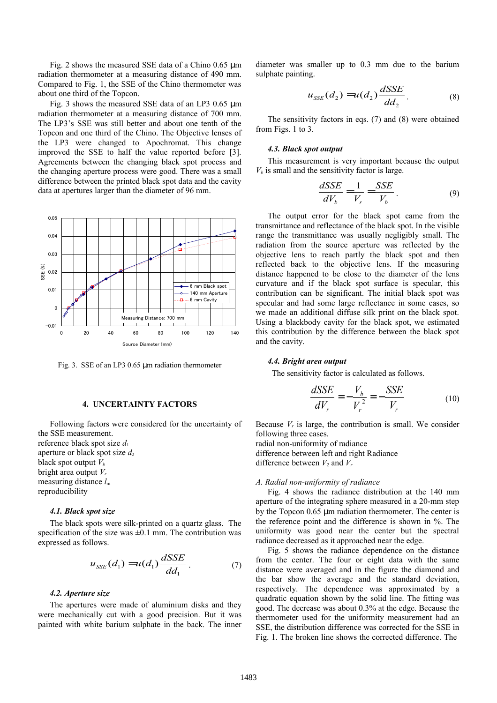Fig. 2 shows the measured SSE data of a Chino 0.65 µm radiation thermometer at a measuring distance of 490 mm. Compared to Fig. 1, the SSE of the Chino thermometer was about one third of the Topcon.

Fig. 3 shows the measured SSE data of an LP3 0.65 µm radiation thermometer at a measuring distance of 700 mm. The LP3's SSE was still better and about one tenth of the Topcon and one third of the Chino. The Objective lenses of the LP3 were changed to Apochromat. This change improved the SSE to half the value reported before [3]. Agreements between the changing black spot process and the changing aperture process were good. There was a small difference between the printed black spot data and the cavity data at apertures larger than the diameter of 96 mm.



Fig. 3. SSE of an LP3 0.65 µm radiation thermometer

#### **4. UNCERTAINTY FACTORS**

Following factors were considered for the uncertainty of the SSE measurement.

reference black spot size  $d_1$ aperture or black spot size  $d_2$ black spot output  $V_b$ bright area output *V<sup>r</sup>* measuring distance *l*<sup>m</sup> reproducibility

## *4.1. Black spot size*

The black spots were silk-printed on a quartz glass. The specification of the size was  $\pm 0.1$  mm. The contribution was expressed as follows.

$$
u_{SSE}(d_1) = u(d_1) \frac{dSSE}{dd_1} \tag{7}
$$

## *4.2. Aperture size*

The apertures were made of aluminium disks and they were mechanically cut with a good precision. But it was painted with white barium sulphate in the back. The inner

diameter was smaller up to 0.3 mm due to the barium sulphate painting.

$$
u_{SSE}(d_2) = u(d_2) \frac{dSSE}{dd_2}.
$$
 (8)

The sensitivity factors in eqs. (7) and (8) were obtained from Figs. 1 to 3.

#### *4.3. Black spot output*

This measurement is very important because the output  $V<sub>b</sub>$  is small and the sensitivity factor is large.

$$
\frac{dSSE}{dV_b} = \frac{1}{V_r} = \frac{SSE}{V_b} \,. \tag{9}
$$

The output error for the black spot came from the transmittance and reflectance of the black spot. In the visible range the transmittance was usually negligibly small. The radiation from the source aperture was reflected by the objective lens to reach partly the black spot and then reflected back to the objective lens. If the measuring distance happened to be close to the diameter of the lens curvature and if the black spot surface is specular, this contribution can be significant. The initial black spot was specular and had some large reflectance in some cases, so we made an additional diffuse silk print on the black spot. Using a blackbody cavity for the black spot, we estimated this contribution by the difference between the black spot and the cavity.

#### *4.4. Bright area output*

The sensitivity factor is calculated as follows.

$$
\frac{dSSE}{dV_r} = -\frac{V_b}{V_r^2} = -\frac{SSE}{V_r}
$$
\n(10)

Because  $V_r$  is large, the contribution is small. We consider following three cases.

radial non-uniformity of radiance difference between left and right Radiance difference between  $V_2$  and  $V_r$ 

#### *A. Radial non-uniformity of radiance*

Fig. 4 shows the radiance distribution at the 140 mm aperture of the integrating sphere measured in a 20-mm step by the Topcon 0.65 µm radiation thermometer. The center is the reference point and the difference is shown in %. The uniformity was good near the center but the spectral radiance decreased as it approached near the edge.

Fig. 5 shows the radiance dependence on the distance from the center. The four or eight data with the same distance were averaged and in the figure the diamond and the bar show the average and the standard deviation, respectively. The dependence was approximated by a quadratic equation shown by the solid line. The fitting was good. The decrease was about 0.3% at the edge. Because the thermometer used for the uniformity measurement had an SSE, the distribution difference was corrected for the SSE in Fig. 1. The broken line shows the corrected difference. The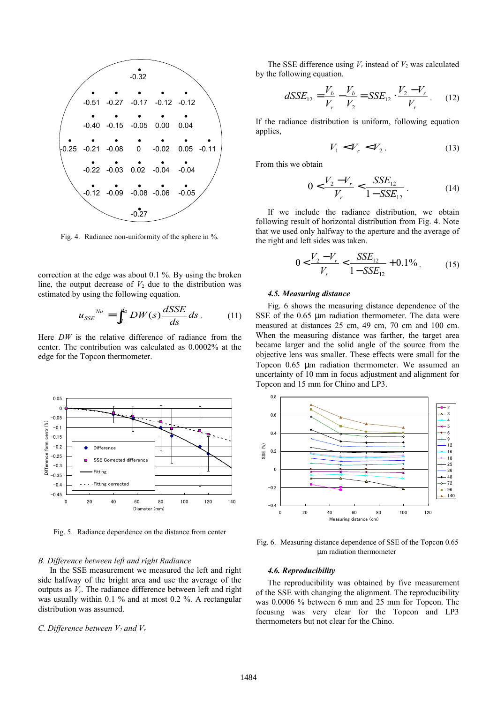

Fig. 4. Radiance non-uniformity of the sphere in %.

correction at the edge was about 0.1 %. By using the broken line, the output decrease of  $V_2$  due to the distribution was estimated by using the following equation.

$$
u_{SSE}^{Nu} = \int_{d_1}^{d_2} DW(s) \frac{dSSE}{ds} ds.
$$
 (11)

Here *DW* is the relative difference of radiance from the center. The contribution was calculated as 0.0002% at the edge for the Topcon thermometer.



Fig. 5. Radiance dependence on the distance from center

#### *B. Difference between left and right Radiance*

In the SSE measurement we measured the left and right side halfway of the bright area and use the average of the outputs as  $V_r$ . The radiance difference between left and right was usually within 0.1 % and at most 0.2 %. A rectangular distribution was assumed.

# *C. Difference between V2 and V<sup>r</sup>*

The SSE difference using  $V_r$  instead of  $V_2$  was calculated by the following equation.

$$
dSSE_{12} = \frac{V_b}{V_r} - \frac{V_b}{V_2} = SSE_{12} \cdot \frac{V_2 - V_r}{V_r}.
$$
 (12)

If the radiance distribution is uniform, following equation applies,

$$
V_1 < V_r < V_2. \tag{13}
$$

From this we obtain

$$
0 < \frac{V_2 - V_r}{V_r} < \frac{SSE_{12}}{1 - SSE_{12}} \tag{14}
$$

If we include the radiance distribution, we obtain following result of horizontal distribution from Fig. 4. Note that we used only halfway to the aperture and the average of the right and left sides was taken.

$$
0 < \frac{V_2 - V_r}{V_r} < \frac{SSE_{12}}{1 - SSE_{12}} + 0.1\% \tag{15}
$$

## *4.5. Measuring distance*

Fig. 6 shows the measuring distance dependence of the SSE of the 0.65 µm radiation thermometer. The data were measured at distances 25 cm, 49 cm, 70 cm and 100 cm. When the measuring distance was farther, the target area became larger and the solid angle of the source from the objective lens was smaller. These effects were small for the Topcon 0.65 µm radiation thermometer. We assumed an uncertainty of 10 mm in focus adjustment and alignment for Topcon and 15 mm for Chino and LP3.



Fig. 6. Measuring distance dependence of SSE of the Topcon 0.65 µm radiation thermometer

## *4.6. Reproducibility*

The reproducibility was obtained by five measurement of the SSE with changing the alignment. The reproducibility was 0.0006 % between 6 mm and 25 mm for Topcon. The focusing was very clear for the Topcon and LP3 thermometers but not clear for the Chino.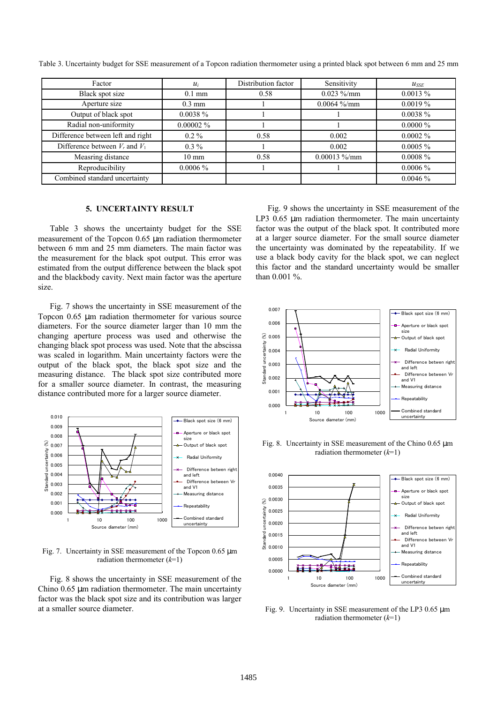| Factor                             | $u_i$            | Distribution factor | Sensitivity     | $u_{SSE}$   |
|------------------------------------|------------------|---------------------|-----------------|-------------|
| Black spot size                    | $0.1$ mm         | 0.58                | $0.023\%$ /mm   | $0.0013\%$  |
| Aperture size                      | $0.3 \text{ mm}$ |                     | $0.0064\%$ /mm  | $0.0019\%$  |
| Output of black spot               | $0.0038\%$       |                     |                 | 0.0038 %    |
| Radial non-uniformity              | $0.00002\%$      |                     |                 | $0.0000\%$  |
| Difference between left and right  | $0.2\%$          | 0.58                | 0.002           | $0.0002\%$  |
| Difference between $V_r$ and $V_1$ | $0.3\%$          |                     | 0.002           | $0.0005 \%$ |
| Measring distance                  | $10 \text{ mm}$  | 0.58                | $0.00013\%$ /mm | $0.0008 \%$ |
| Reproducibility                    | $0.0006\%$       |                     |                 | $0.0006\%$  |
| Combined standard uncertainty      |                  |                     |                 | 0.0046%     |

Table 3. Uncertainty budget for SSE measurement of a Topcon radiation thermometer using a printed black spot between 6 mm and 25 mm

## **5. UNCERTAINTY RESULT**

Table 3 shows the uncertainty budget for the SSE measurement of the Topcon 0.65 µm radiation thermometer between 6 mm and 25 mm diameters. The main factor was the measurement for the black spot output. This error was estimated from the output difference between the black spot and the blackbody cavity. Next main factor was the aperture size.

Fig. 7 shows the uncertainty in SSE measurement of the Topcon 0.65 µm radiation thermometer for various source diameters. For the source diameter larger than 10 mm the changing aperture process was used and otherwise the changing black spot process was used. Note that the abscissa was scaled in logarithm. Main uncertainty factors were the output of the black spot, the black spot size and the measuring distance. The black spot size contributed more for a smaller source diameter. In contrast, the measuring distance contributed more for a larger source diameter.



Fig. 7. Uncertainty in SSE measurement of the Topcon 0.65 µm radiation thermometer (*k*=1)

Fig. 8 shows the uncertainty in SSE measurement of the Chino  $0.65$   $\mu$ m radiation thermometer. The main uncertainty factor was the black spot size and its contribution was larger at a smaller source diameter.

Fig. 9 shows the uncertainty in SSE measurement of the LP3 0.65 µm radiation thermometer. The main uncertainty factor was the output of the black spot. It contributed more at a larger source diameter. For the small source diameter the uncertainty was dominated by the repeatability. If we use a black body cavity for the black spot, we can neglect this factor and the standard uncertainty would be smaller than 0.001 %.



Fig. 8. Uncertainty in SSE measurement of the Chino 0.65 µm radiation thermometer (*k*=1)



Fig. 9. Uncertainty in SSE measurement of the LP3 0.65 µm radiation thermometer (*k*=1)